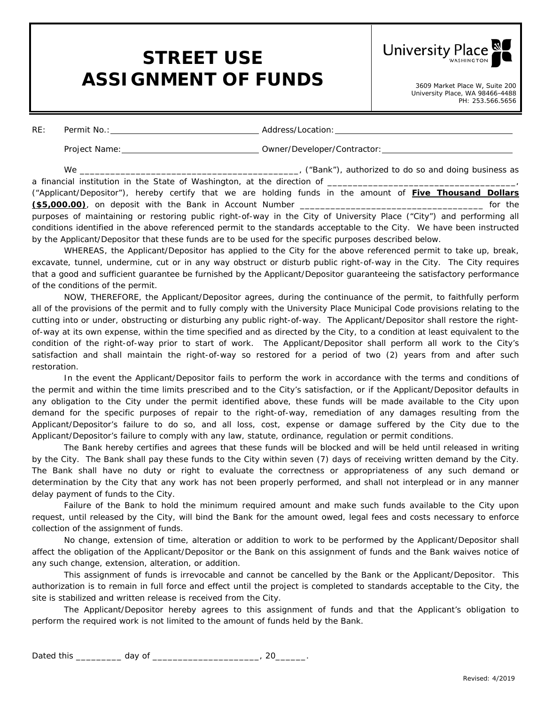## **STREET USE**  ASSIGNMENT OF FUNDS 3609 Market Place W, Suite 200

**University Place** 

University Place, WA 98466-4488 PH: 253.566.5656

| RE: |  |                                                                                                                 |
|-----|--|-----------------------------------------------------------------------------------------------------------------|
|     |  |                                                                                                                 |
|     |  |                                                                                                                 |
|     |  |                                                                                                                 |
|     |  | ("Applicant/Depositor"), hereby certify that we are holding funds in the amount of <b>Five Thousand Dollars</b> |

**(\$5,000.00)**, on deposit with the Bank in Account Number \_\_\_\_\_\_\_\_\_\_\_\_\_\_\_\_\_\_\_\_\_\_\_\_\_\_\_\_\_\_\_\_\_\_\_\_ for the purposes of maintaining or restoring public right-of-way in the City of University Place ("City") and performing all conditions identified in the above referenced permit to the standards acceptable to the City. We have been instructed by the Applicant/Depositor that these funds are to be used for the specific purposes described below.

WHEREAS, the Applicant/Depositor has applied to the City for the above referenced permit to take up, break, excavate, tunnel, undermine, cut or in any way obstruct or disturb public right-of-way in the City. The City requires that a good and sufficient guarantee be furnished by the Applicant/Depositor guaranteeing the satisfactory performance of the conditions of the permit.

NOW, THEREFORE, the Applicant/Depositor agrees, during the continuance of the permit, to faithfully perform all of the provisions of the permit and to fully comply with the University Place Municipal Code provisions relating to the cutting into or under, obstructing or disturbing any public right-of-way. The Applicant/Depositor shall restore the rightof-way at its own expense, within the time specified and as directed by the City, to a condition at least equivalent to the condition of the right-of-way prior to start of work. The Applicant/Depositor shall perform all work to the City's satisfaction and shall maintain the right-of-way so restored for a period of two (2) years from and after such restoration.

In the event the Applicant/Depositor fails to perform the work in accordance with the terms and conditions of the permit and within the time limits prescribed and to the City's satisfaction, or if the Applicant/Depositor defaults in any obligation to the City under the permit identified above, these funds will be made available to the City upon demand for the specific purposes of repair to the right-of-way, remediation of any damages resulting from the Applicant/Depositor's failure to do so, and all loss, cost, expense or damage suffered by the City due to the Applicant/Depositor's failure to comply with any law, statute, ordinance, regulation or permit conditions.

The Bank hereby certifies and agrees that these funds will be blocked and will be held until released in writing by the City. The Bank shall pay these funds to the City within seven (7) days of receiving written demand by the City. The Bank shall have no duty or right to evaluate the correctness or appropriateness of any such demand or determination by the City that any work has not been properly performed, and shall not interplead or in any manner delay payment of funds to the City.

Failure of the Bank to hold the minimum required amount and make such funds available to the City upon request, until released by the City, will bind the Bank for the amount owed, legal fees and costs necessary to enforce collection of the assignment of funds.

No change, extension of time, alteration or addition to work to be performed by the Applicant/Depositor shall affect the obligation of the Applicant/Depositor or the Bank on this assignment of funds and the Bank waives notice of any such change, extension, alteration, or addition.

This assignment of funds is irrevocable and cannot be cancelled by the Bank or the Applicant/Depositor. This authorization is to remain in full force and effect until the project is completed to standards acceptable to the City, the site is stabilized and written release is received from the City.

The Applicant/Depositor hereby agrees to this assignment of funds and that the Applicant's obligation to perform the required work is not limited to the amount of funds held by the Bank.

Dated this \_\_\_\_\_\_\_\_\_\_\_\_ day of \_\_\_\_\_\_\_\_\_\_\_\_\_\_\_\_\_\_\_\_\_\_\_\_\_, 20\_\_\_\_\_